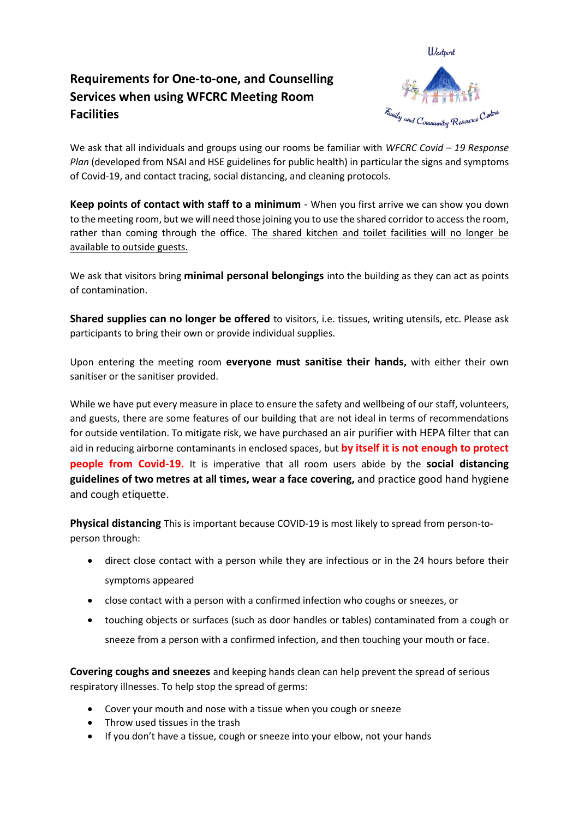## **Requirements for One-to-one, and Counselling Services when using WFCRC Meeting Room Facilities**



We ask that all individuals and groups using our rooms be familiar with *WFCRC Covid – 19 Response Plan* (developed from NSAI and HSE guidelines for public health) in particular the signs and symptoms of Covid-19, and contact tracing, social distancing, and cleaning protocols.

**Keep points of contact with staff to a minimum** - When you first arrive we can show you down to the meeting room, but we will need those joining you to use the shared corridor to access the room, rather than coming through the office. The shared kitchen and toilet facilities will no longer be available to outside guests.

We ask that visitors bring **minimal personal belongings** into the building as they can act as points of contamination.

**Shared supplies can no longer be offered** to visitors, i.e. tissues, writing utensils, etc. Please ask participants to bring their own or provide individual supplies.

Upon entering the meeting room **everyone must sanitise their hands,** with either their own sanitiser or the sanitiser provided.

While we have put every measure in place to ensure the safety and wellbeing of our staff, volunteers, and guests, there are some features of our building that are not ideal in terms of recommendations for outside ventilation. To mitigate risk, we have purchased an air purifier with HEPA filter that can aid in reducing airborne contaminants in enclosed spaces, but **by itself it is not enough to protect people from Covid-19.** It is imperative that all room users abide by the **social distancing guidelines of two metres at all times, wear a face covering,** and practice good hand hygiene and cough etiquette.

**Physical distancing** This is important because COVID-19 is most likely to spread from person-toperson through:

- direct close contact with a person while they are infectious or in the 24 hours before their symptoms appeared
- close contact with a person with a confirmed infection who coughs or sneezes, or
- touching objects or surfaces (such as door handles or tables) contaminated from a cough or sneeze from a person with a confirmed infection, and then touching your mouth or face.

**Covering coughs and sneezes** and keeping hands clean can help prevent the spread of serious respiratory illnesses. To help stop the spread of germs:

- Cover your mouth and nose with a tissue when you cough or sneeze
- Throw used tissues in the trash
- If you don't have a tissue, cough or sneeze into your elbow, not your hands